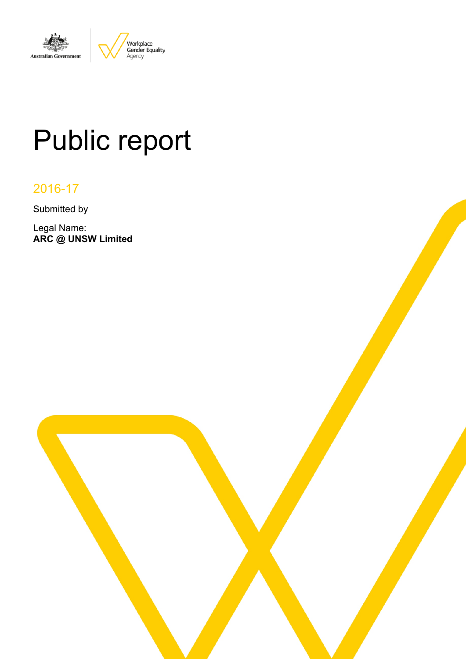

# Public report

# 2016-17

Submitted by

Legal Name: **ARC @ UNSW Limited**

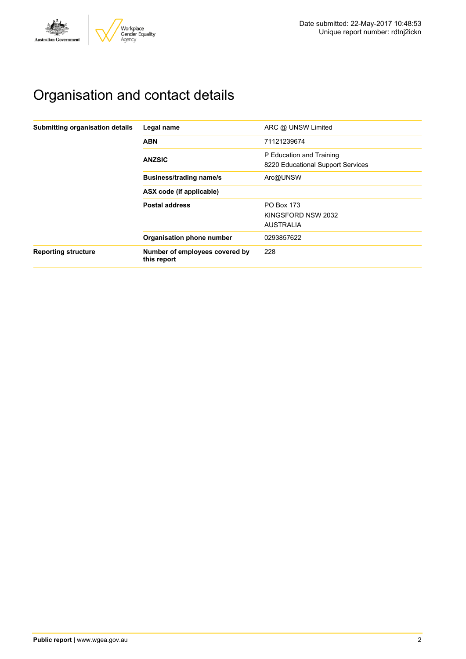

# Organisation and contact details

| Submitting organisation details | Legal name                                    | ARC @ UNSW Limited                                            |
|---------------------------------|-----------------------------------------------|---------------------------------------------------------------|
|                                 | <b>ABN</b>                                    | 71121239674                                                   |
|                                 | <b>ANZSIC</b>                                 | P Education and Training<br>8220 Educational Support Services |
|                                 | <b>Business/trading name/s</b>                | Arc@UNSW                                                      |
|                                 | ASX code (if applicable)                      |                                                               |
|                                 | <b>Postal address</b>                         | <b>PO Box 173</b>                                             |
|                                 |                                               | KINGSFORD NSW 2032                                            |
|                                 |                                               | <b>AUSTRALIA</b>                                              |
|                                 | Organisation phone number                     | 0293857622                                                    |
| <b>Reporting structure</b>      | Number of employees covered by<br>this report | 228                                                           |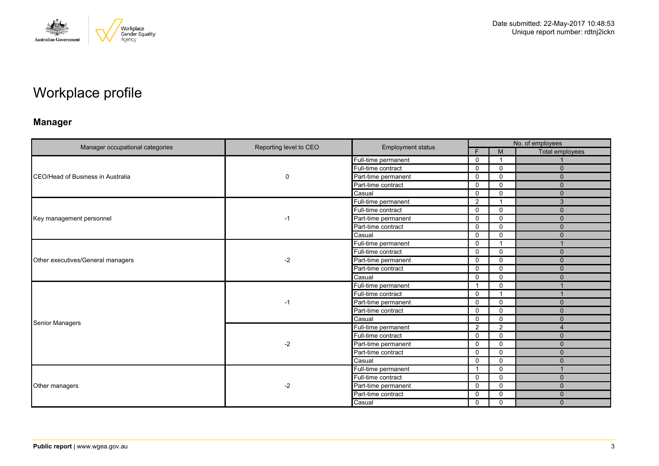

# Workplace profile

# **Manager**

|                                           |                        |                          | No. of employees        |              |                        |  |
|-------------------------------------------|------------------------|--------------------------|-------------------------|--------------|------------------------|--|
| Manager occupational categories           | Reporting level to CEO | <b>Employment status</b> | E                       | M            | <b>Total employees</b> |  |
|                                           | 0                      | Full-time permanent      | $\mathbf 0$             | - 1          |                        |  |
|                                           |                        | Full-time contract       | $\mathbf 0$             | $\mathbf 0$  | $\mathbf{0}$           |  |
| <b>ICEO/Head of Business in Australia</b> |                        | Part-time permanent      | 0                       | $\mathbf{0}$ | $\Omega$               |  |
|                                           |                        | Part-time contract       | $\mathbf 0$             | $\Omega$     | $\mathbf{0}$           |  |
|                                           |                        | Casual                   | $\mathbf 0$             | $\mathbf 0$  | $\mathbf{0}$           |  |
|                                           |                        | Full-time permanent      | $\overline{2}$          | 1            | 3                      |  |
|                                           |                        | Full-time contract       | $\mathbf 0$             | $\Omega$     | $\mathbf{0}$           |  |
| Key management personnel                  | $-1$                   | Part-time permanent      | $\mathbf 0$             | $\mathbf 0$  | $\mathbf{0}$           |  |
|                                           |                        | Part-time contract       | $\Omega$                | $\mathbf{0}$ | $\Omega$               |  |
|                                           |                        | Casual                   | $\mathbf 0$             | $\Omega$     | $\mathbf{0}$           |  |
|                                           | $-2$                   | Full-time permanent      | $\mathbf 0$             |              |                        |  |
|                                           |                        | Full-time contract       | $\Omega$                | $\mathbf 0$  | $\Omega$               |  |
| Other executives/General managers         |                        | Part-time permanent      | $\mathbf 0$             | $\mathbf 0$  | $\Omega$               |  |
|                                           |                        | Part-time contract       | $\mathbf 0$             | $\mathbf 0$  | $\mathbf{0}$           |  |
|                                           |                        | Casual                   | $\Omega$                | $\Omega$     | $\Omega$               |  |
|                                           | $-1$                   | Full-time permanent      | $\overline{\mathbf{1}}$ | $\Omega$     |                        |  |
|                                           |                        | Full-time contract       | $\mathbf 0$             |              |                        |  |
|                                           |                        | Part-time permanent      | $\mathbf{0}$            | $\Omega$     | $\Omega$               |  |
|                                           |                        | Part-time contract       | $\mathbf 0$             | $\mathbf 0$  | $\mathbf{0}$           |  |
| <b>Senior Managers</b>                    |                        | Casual                   | 0                       | $\mathbf 0$  | $\Omega$               |  |
|                                           |                        | Full-time permanent      | $\overline{2}$          | 2            | $\overline{4}$         |  |
|                                           |                        | Full-time contract       | $\mathbf 0$             | $\mathbf 0$  | $\mathbf{0}$           |  |
|                                           | $-2$                   | Part-time permanent      | $\mathbf 0$             | $\mathbf 0$  | $\Omega$               |  |
|                                           |                        | Part-time contract       | $\mathbf 0$             | $\Omega$     | $\Omega$               |  |
|                                           |                        | Casual                   | $\mathbf 0$             | $\mathbf 0$  | $\mathbf{0}$           |  |
|                                           |                        | Full-time permanent      | - 1                     | $\Omega$     |                        |  |
|                                           |                        | Full-time contract       | $\mathbf 0$             | $\mathbf 0$  | $\mathbf{0}$           |  |
| Other managers                            | $-2$                   | Part-time permanent      | 0                       | $\mathbf 0$  | $\mathbf{0}$           |  |
|                                           |                        | Part-time contract       | 0                       | $\mathbf 0$  | $\mathbf{0}$           |  |
|                                           |                        | Casual                   | $\mathbf 0$             | $\mathbf 0$  | $\Omega$               |  |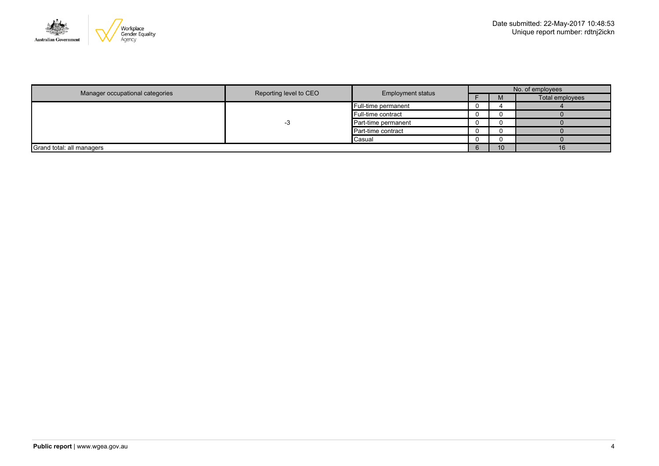

|                                 |                        |                          |  | No. of employees |                 |  |  |
|---------------------------------|------------------------|--------------------------|--|------------------|-----------------|--|--|
| Manager occupational categories | Reporting level to CEO | <b>Employment status</b> |  | <b>IVI</b>       | Total employees |  |  |
|                                 |                        | Full-time permanent      |  |                  |                 |  |  |
|                                 |                        | Full-time contract       |  |                  |                 |  |  |
|                                 |                        | Part-time permanent      |  |                  |                 |  |  |
|                                 |                        | Part-time contract       |  |                  |                 |  |  |
|                                 |                        | Casual                   |  |                  |                 |  |  |
| Grand total: all managers       |                        |                          |  | 10               |                 |  |  |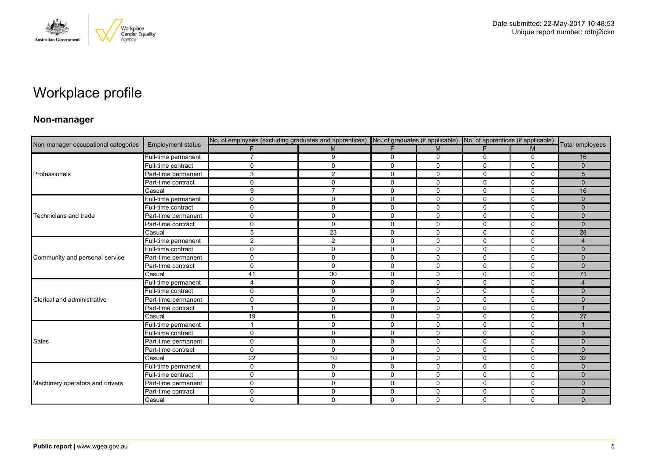

# Workplace profile

### **Non-manager**

| Non-manager occupational categories |                          |                | No. of employees (excluding graduates and apprentices) No. of graduates (if applicable) No. of apprentices (if applicable) |              |              |             |             |                 |
|-------------------------------------|--------------------------|----------------|----------------------------------------------------------------------------------------------------------------------------|--------------|--------------|-------------|-------------|-----------------|
|                                     | <b>Employment status</b> |                | M                                                                                                                          | F            | M            | F.          | M           | Total employees |
|                                     | Full-time permanent      | 7              | 9                                                                                                                          | 0            | 0            | 0           | 0           | 16              |
|                                     | Full-time contract       | $\mathbf 0$    | $\mathbf 0$                                                                                                                | $\mathbf 0$  | $\mathbf 0$  | 0           | $\mathbf 0$ | $\mathbf{0}$    |
| Professionals                       | Part-time permanent      | 3              | 2                                                                                                                          | $\mathbf 0$  | 0            | 0           | $\Omega$    | 5               |
|                                     | Part-time contract       | $\mathbf 0$    | $\Omega$                                                                                                                   | 0            | 0            | 0           | 0           | $\Omega$        |
|                                     | Casual                   | 9              | $\overline{7}$                                                                                                             | $\mathbf 0$  | $\mathbf 0$  | $\Omega$    | $\mathbf 0$ | 16              |
|                                     | Full-time permanent      | 0              | $\mathbf{0}$                                                                                                               | $\mathbf 0$  | $\Omega$     | 0           | $\Omega$    | $\Omega$        |
|                                     | Full-time contract       | $\mathbf 0$    | $\mathbf{0}$                                                                                                               | $\mathbf 0$  | $\mathbf 0$  | 0           | $\mathbf 0$ | $\mathbf{0}$    |
| Technicians and trade               | Part-time permanent      | $\mathbf 0$    | $\mathbf 0$                                                                                                                | $\mathbf 0$  | $\mathbf 0$  | 0           | $\mathbf 0$ | $\Omega$        |
|                                     | Part-time contract       | 0              | $\mathbf{0}$                                                                                                               | $\mathbf{0}$ | $\Omega$     | $\Omega$    | $\Omega$    | $\Omega$        |
|                                     | Casual                   | 5              | 23                                                                                                                         | 0            | $\mathbf 0$  | $\Omega$    | $\mathbf 0$ | 28              |
|                                     | Full-time permanent      | $\overline{c}$ | $\overline{2}$                                                                                                             | $\mathbf 0$  | $\mathbf 0$  | 0           | $\mathbf 0$ | $\overline{4}$  |
|                                     | Full-time contract       | $\mathbf 0$    | $\mathbf 0$                                                                                                                | $\mathbf 0$  | $\mathbf 0$  | 0           | $\mathbf 0$ | $\mathbf{0}$    |
| Community and personal service      | Part-time permanent      | 0              | $\mathbf 0$                                                                                                                | 0            | 0            | 0           | 0           | $\mathbf{0}$    |
|                                     | Part-time contract       | $\mathbf 0$    | $\mathbf{0}$                                                                                                               | $\mathbf 0$  | $\mathbf 0$  | $\Omega$    | $\mathbf 0$ | $\Omega$        |
|                                     | Casual                   | 41             | 30                                                                                                                         | $\mathbf 0$  | 0            | 0           | $\mathbf 0$ | 71              |
|                                     | Full-time permanent      | 4              | $\mathbf 0$                                                                                                                | 0            | 0            | 0           | $\mathbf 0$ | $\overline{4}$  |
|                                     | Full-time contract       | $\mathbf 0$    | $\mathbf{0}$                                                                                                               | $\mathbf 0$  | $\mathbf{0}$ | $\Omega$    | $\Omega$    | $\Omega$        |
| Clerical and administrative         | Part-time permanent      | $\mathbf 0$    | $\mathbf{0}$                                                                                                               | $\mathbf 0$  | 0            | 0           | $\mathbf 0$ | $\mathbf{0}$    |
|                                     | Part-time contract       | $\overline{ }$ | $\mathbf 0$                                                                                                                | $\mathbf 0$  | $\mathbf 0$  | $\mathbf 0$ | $\mathbf 0$ |                 |
|                                     | Casual                   | 19             | 8                                                                                                                          | $\mathbf 0$  | $\mathbf 0$  | $\Omega$    | $\mathbf 0$ | 27              |
|                                     | Full-time permanent      |                | $\Omega$                                                                                                                   | $\mathbf 0$  | $\mathbf{0}$ | 0           | $\Omega$    |                 |
|                                     | Full-time contract       | $\mathbf 0$    | $\mathbf 0$                                                                                                                | $\mathbf 0$  | $\mathbf 0$  | $\Omega$    | $\mathbf 0$ | $\Omega$        |
| <b>Sales</b>                        | Part-time permanent      | $\mathbf 0$    | $\mathbf 0$                                                                                                                | $\mathbf 0$  | $\mathbf 0$  | $\mathbf 0$ | $\mathbf 0$ | $\mathbf{0}$    |
|                                     | Part-time contract       | $\mathbf 0$    | $\Omega$                                                                                                                   | 0            | $\mathbf{0}$ | 0           | $\mathbf 0$ | $\Omega$        |
|                                     | Casual                   | 22             | 10                                                                                                                         | $\mathbf 0$  | $\mathbf 0$  | 0           | $\mathbf 0$ | 32              |
|                                     | Full-time permanent      | 0              | $\mathbf{0}$                                                                                                               | $\mathbf 0$  | $\mathbf{0}$ | $\mathbf 0$ | $\mathbf 0$ | $\Omega$        |
|                                     | Full-time contract       | $\mathbf 0$    | $\Omega$                                                                                                                   | $\mathbf 0$  | $\Omega$     | 0           | $\Omega$    | $\Omega$        |
| Machinery operators and drivers     | Part-time permanent      | $\mathbf 0$    | $\mathbf{0}$                                                                                                               | $\mathbf 0$  | 0            | 0           | $\mathbf 0$ | $\Omega$        |
|                                     | Part-time contract       | $\mathbf 0$    | $\mathbf{0}$                                                                                                               | $\mathbf 0$  | $\mathbf 0$  | $\mathbf 0$ | $\mathbf 0$ | $\Omega$        |
|                                     | Casual                   | $\mathbf 0$    | $\mathbf{0}$                                                                                                               | $\Omega$     | $\Omega$     | $\Omega$    | $\mathbf 0$ | $\Omega$        |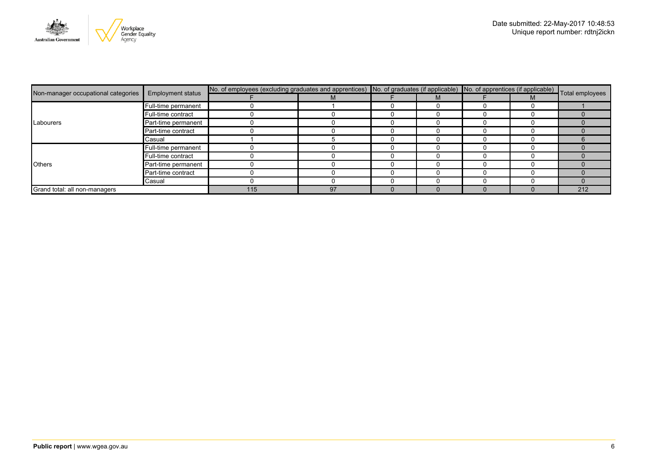

|                                     | <b>Employment status</b> | No. of employees (excluding graduates and apprentices) No. of graduates (if applicable) No. of apprentices (if applicable) Total employees |    |  |  |  |  |     |
|-------------------------------------|--------------------------|--------------------------------------------------------------------------------------------------------------------------------------------|----|--|--|--|--|-----|
| Non-manager occupational categories |                          |                                                                                                                                            |    |  |  |  |  |     |
|                                     | Full-time permanent      |                                                                                                                                            |    |  |  |  |  |     |
|                                     | Full-time contract       |                                                                                                                                            |    |  |  |  |  |     |
| Labourers                           | Part-time permanent      |                                                                                                                                            |    |  |  |  |  |     |
|                                     | Part-time contract       |                                                                                                                                            |    |  |  |  |  |     |
|                                     | Casual                   |                                                                                                                                            |    |  |  |  |  |     |
|                                     | Full-time permanent      |                                                                                                                                            |    |  |  |  |  |     |
|                                     | Full-time contract       |                                                                                                                                            |    |  |  |  |  |     |
| <b>Others</b>                       | Part-time permanent      |                                                                                                                                            |    |  |  |  |  |     |
|                                     | Part-time contract       |                                                                                                                                            |    |  |  |  |  |     |
|                                     | Casual                   |                                                                                                                                            |    |  |  |  |  |     |
| Grand total: all non-managers       |                          | 115                                                                                                                                        | 97 |  |  |  |  | 212 |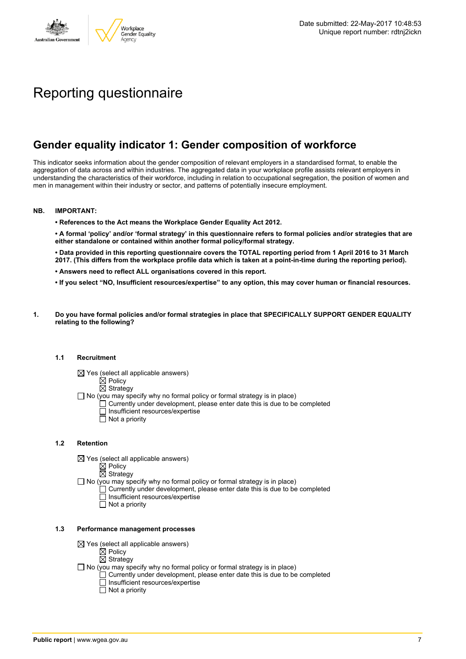

# Reporting questionnaire

# **Gender equality indicator 1: Gender composition of workforce**

This indicator seeks information about the gender composition of relevant employers in a standardised format, to enable the aggregation of data across and within industries. The aggregated data in your workplace profile assists relevant employers in understanding the characteristics of their workforce, including in relation to occupational segregation, the position of women and men in management within their industry or sector, and patterns of potentially insecure employment.

#### **NB. IMPORTANT:**

**• References to the Act means the Workplace Gender Equality Act 2012.**

• A formal 'policy' and/or 'formal strategy' in this questionnaire refers to formal policies and/or strategies that are **either standalone or contained within another formal policy/formal strategy.**

• Data provided in this reporting questionnaire covers the TOTAL reporting period from 1 April 2016 to 31 March 2017. (This differs from the workplace profile data which is taken at a point-in-time during the reporting period).

- **• Answers need to reflect ALL organisations covered in this report.**
- . If you select "NO, Insufficient resources/expertise" to any option, this may cover human or financial resources.
- **1. Do you have formal policies and/or formal strategies in place that SPECIFICALLY SUPPORT GENDER EQUALITY relating to the following?**

#### **1.1 Recruitment**

- $\boxtimes$  Yes (select all applicable answers)
	- $\mathbb{\dot{Z}}$  Policy
	- $\boxtimes$  Strategy
- No (you may specify why no formal policy or formal strategy is in place)
	- $\Box$  Currently under development, please enter date this is due to be completed
		- $\overline{\Box}$  Insufficient resources/expertise
		- $\Box$  Not a priority

#### **1.2 Retention**

- $\boxtimes$  Yes (select all applicable answers)
	- $\boxtimes$  Policy
	- $\boxtimes$  Strategy
- No (you may specify why no formal policy or formal strategy is in place)
	- $\Box$  Currently under development, please enter date this is due to be completed
		- Insufficient resources/expertise
		- Not a priority

#### **1.3 Performance management processes**

- $\boxtimes$  Yes (select all applicable answers)
	- $\mathbb{\dot{Z}}$  Policy
	- $\boxtimes$  Strategy
- $\Box$  No (you may specify why no formal policy or formal strategy is in place)
	- $\Box$  Currently under development, please enter date this is due to be completed
	- $\Box$  Insufficient resources/expertise
	- $\Box$  Not a priority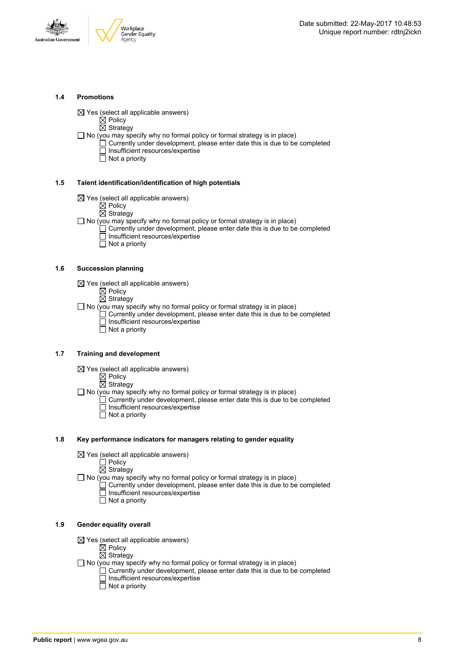



#### **1.4 Promotions**

 $\boxtimes$  Yes (select all applicable answers)

 $\boxtimes$  Policy

 $\overline{\boxtimes}$  Strategy

 $\Box$  No (you may specify why no formal policy or formal strategy is in place)

- $\Box$  Currently under development, please enter date this is due to be completed □ Insufficient resources/expertise
	- $\overline{\Box}$  Not a priority

#### **1.5 Talent identification/identification of high potentials**

- $\boxtimes$  Yes (select all applicable answers)
	- $\boxtimes$  Policy
	- $\overline{\boxtimes}$  Strategy
- $\Box$  No (you may specify why no formal policy or formal strategy is in place)
	- Currently under development, please enter date this is due to be completed Insufficient resources/expertise
		- $\overline{\Box}$  Not a priority

#### **1.6 Succession planning**

- $\boxtimes$  Yes (select all applicable answers)
	- $\boxtimes$  Policy
	- $\overline{\boxtimes}$  Strategy

 $\Box$  No (you may specify why no formal policy or formal strategy is in place)

- $\Box$  Currently under development, please enter date this is due to be completed Insufficient resources/expertise
- Not a priority

#### **1.7 Training and development**

- $\boxtimes$  Yes (select all applicable answers)
	- $\mathbb{\dot{Z}}$  Policy
		- $\boxtimes$  Strategy

 $\Box$  No (you may specify why no formal policy or formal strategy is in place)

- Currently under development, please enter date this is due to be completed Insufficient resources/expertise
	- $\Box$  Not a priority

#### **1.8 Key performance indicators for managers relating to gender equality**

- $\boxtimes$  Yes (select all applicable answers)
	- □ Policy
	- $\boxtimes$  Strategy

 $\Box$  No (you may specify why no formal policy or formal strategy is in place)

- $\Box$  Currently under development, please enter date this is due to be completed Insufficient resources/expertise
	- Not a priority

#### **1.9 Gender equality overall**

- $\boxtimes$  Yes (select all applicable answers)
	- $\mathbb{\dot{A}}$  Policy
	- $\boxtimes$  Strategy
- $\Box$  No (you may specify why no formal policy or formal strategy is in place)
	- $\Box$  Currently under development, please enter date this is due to be completed □ Insufficient resources/expertise
		- $\Box$  Not a priority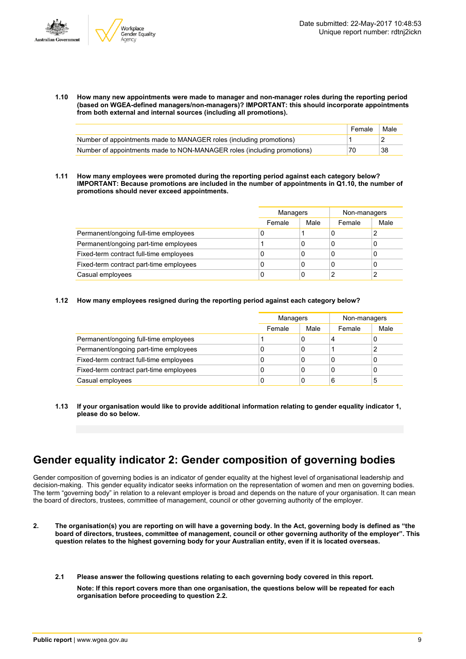

**1.10 How many new appointments were made to manager and non-manager roles during the reporting period (based on WGEA-defined managers/non-managers)? IMPORTANT: this should incorporate appointments from both external and internal sources (including all promotions).**

|                                                                         | Female | Male |
|-------------------------------------------------------------------------|--------|------|
| Number of appointments made to MANAGER roles (including promotions)     |        |      |
| Number of appointments made to NON-MANAGER roles (including promotions) | 70     | 38   |

**1.11 How many employees were promoted during the reporting period against each category below? IMPORTANT: Because promotions are included in the number of appointments in Q1.10, the number of promotions should never exceed appointments.**

|                                         | Managers |      | Non-managers |      |
|-----------------------------------------|----------|------|--------------|------|
|                                         | Female   | Male | Female       | Male |
| Permanent/ongoing full-time employees   | U        |      |              | 2    |
| Permanent/ongoing part-time employees   |          | 0    |              | 0    |
| Fixed-term contract full-time employees | U        | 0    |              | 0    |
| Fixed-term contract part-time employees | 0        | 0    |              | 0    |
| Casual employees                        | 0        | 0    |              | 2    |

#### **1.12 How many employees resigned during the reporting period against each category below?**

|                                         |        | <b>Managers</b> |        | Non-managers |
|-----------------------------------------|--------|-----------------|--------|--------------|
|                                         | Female | Male            | Female | Male         |
| Permanent/ongoing full-time employees   |        | 0               | 4      | U            |
| Permanent/ongoing part-time employees   |        | 0               |        | っ            |
| Fixed-term contract full-time employees |        | 0               |        | 0            |
| Fixed-term contract part-time employees |        | 0               | 0      | 0            |
| Casual employees                        |        | 0               | 6      | 5            |

**1.13 If your organisation would like to provide additional information relating to gender equality indicator 1, please do so below.**

### **Gender equality indicator 2: Gender composition of governing bodies**

Gender composition of governing bodies is an indicator of gender equality at the highest level of organisational leadership and decision-making. This gender equality indicator seeks information on the representation of women and men on governing bodies. The term "governing body" in relation to a relevant employer is broad and depends on the nature of your organisation. It can mean the board of directors, trustees, committee of management, council or other governing authority of the employer.

- 2. The organisation(s) you are reporting on will have a governing body. In the Act, governing body is defined as "the board of directors, trustees, committee of management, council or other governing authority of the employer". This question relates to the highest governing body for your Australian entity, even if it is located overseas.
	- **2.1 Please answer the following questions relating to each governing body covered in this report. Note: If this report covers more than one organisation, the questions below will be repeated for each organisation before proceeding to question 2.2.**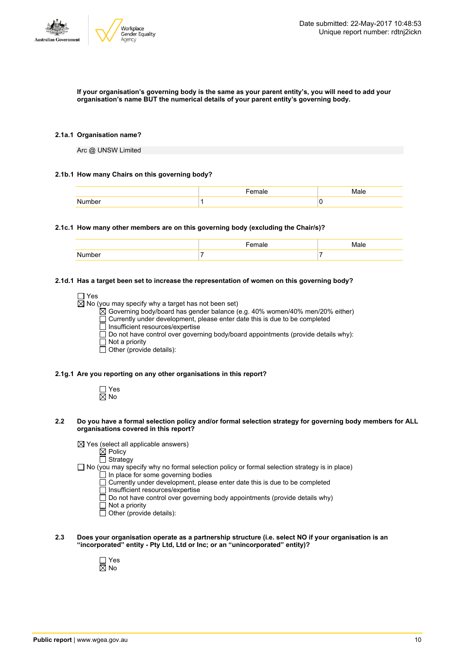

#### If your organisation's governing body is the same as your parent entity's, you will need to add your **organisation's name BUT the numerical details of your parent entity's governing body.**

#### **2.1a.1 Organisation name?**

Arc @ UNSW Limited

#### **2.1b.1 How many Chairs on this governing body?**

#### **2.1c.1 How many other members are on this governing body (excluding the Chair/s)?**

#### **2.1d.1 Has a target been set to increase the representation of women on this governing body?**

| $\Box$ Yes                                                                               |
|------------------------------------------------------------------------------------------|
| $\boxtimes$ No (you may specify why a target has not been set)                           |
| ⊠ Governing body/board has gender balance (e.g. 40% women/40% men/20% either)            |
| $\Box$ Currently under development, please enter date this is due to be completed        |
| $\Box$ Insufficient resources/expertise                                                  |
| $\Box$ Do not have control over governing body/board appointments (provide details why): |
| $\Box$ Not a priority                                                                    |
| $\Box$ Other (provide details):                                                          |
|                                                                                          |

#### **2.1g.1 Are you reporting on any other organisations in this report?**

□ Yes  $\overline{\boxtimes}$  No

- 2.2 Do you have a formal selection policy and/or formal selection strategy for governing body members for ALL **organisations covered in this report?**
	- $\boxtimes$  Yes (select all applicable answers)
		- $\boxtimes$  Policy
		- $\overline{\Box}$  Strategy
	- $\Box$  No (you may specify why no formal selection policy or formal selection strategy is in place)
		- In place for some governing bodies
		- Currently under development, please enter date this is due to be completed
		- $\Box$  Insufficient resources/expertise
		- $\Box$  Do not have control over governing body appointments (provide details why)
		- Not a priority
		- Other (provide details):
- **2.3 Does your organisation operate as a partnership structure (i.e. select NO if your organisation is an "incorporated" entity - Pty Ltd, Ltd or Inc; or an "unincorporated" entity)?**
	- Yes No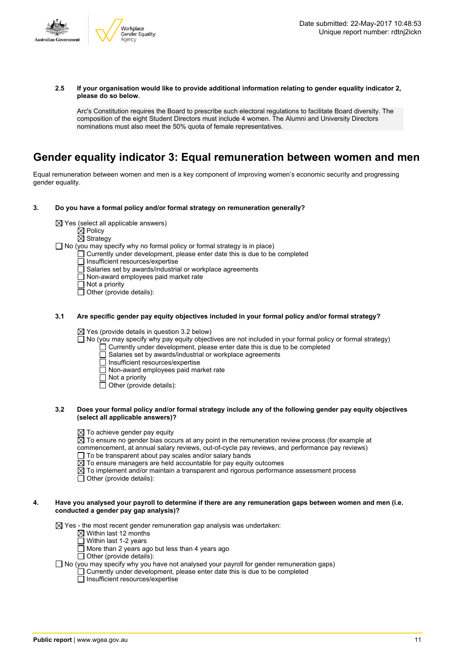

#### **2.5 If your organisation would like to provide additional information relating to gender equality indicator 2, please do so below.**

Arc's Constitution requires the Board to prescribe such electoral regulations to facilitate Board diversity. The composition of the eight Student Directors must include 4 women. The Alumni and University Directors nominations must also meet the 50% quota of female representatives.

### **Gender equality indicator 3: Equal remuneration between women and men**

Equal remuneration between women and men is a key component of improving women's economic security and progressing gender equality.

#### **3. Do you have a formal policy and/or formal strategy on remuneration generally?**

 $\boxtimes$  Yes (select all applicable answers)

 $\boxtimes$  Policy

 $\overline{\boxtimes}$  Strategy

□ No (you may specify why no formal policy or formal strategy is in place)

 $\Box$  Currently under development, please enter date this is due to be completed

 $\Box$  Insufficient resources/expertise

- Salaries set by awards/industrial or workplace agreements
- $\Box$  Non-award employees paid market rate
- $\overline{\Box}$  Not a priority

 $\Box$  Other (provide details):

#### **3.1 Are specific gender pay equity objectives included in your formal policy and/or formal strategy?**

 $\boxtimes$  Yes (provide details in question 3.2 below)

- $\Box$  No (you may specify why pay equity objectives are not included in your formal policy or formal strategy)
	- $\Box$  Currently under development, please enter date this is due to be completed
	- $\Box$  Salaries set by awards/industrial or workplace agreements
	- Insufficient resources/expertise
	- Non-award employees paid market rate
	- Not a priority
	- $\overline{\Box}$  Other (provide details):

#### 3.2 Does your formal policy and/or formal strategy include any of the following gender pay equity objectives **(select all applicable answers)?**

 $\boxtimes$  To achieve gender pay equity

 $\overline{\boxtimes}$  To ensure no gender bias occurs at any point in the remuneration review process (for example at

commencement, at annual salary reviews, out-of-cycle pay reviews, and performance pay reviews)

 $\Box$  To be transparent about pay scales and/or salary bands

 $\boxtimes$  To ensure managers are held accountable for pay equity outcomes

 $\overline{\boxtimes}$  To implement and/or maintain a transparent and rigorous performance assessment process

 $\Box$  Other (provide details):

#### 4. Have you analysed your payroll to determine if there are any remuneration gaps between women and men (i.e. **conducted a gender pay gap analysis)?**

 $\boxtimes$  Yes - the most recent gender remuneration gap analysis was undertaken:

- $\boxtimes$  Within last 12 months
- $\Box$  Within last 1-2 years
- More than 2 years ago but less than 4 years ago
- $\Box$  Other (provide details):

 $\Box$  No (you may specify why you have not analysed your payroll for gender remuneration gaps)

Currently under development, please enter date this is due to be completed

Insufficient resources/expertise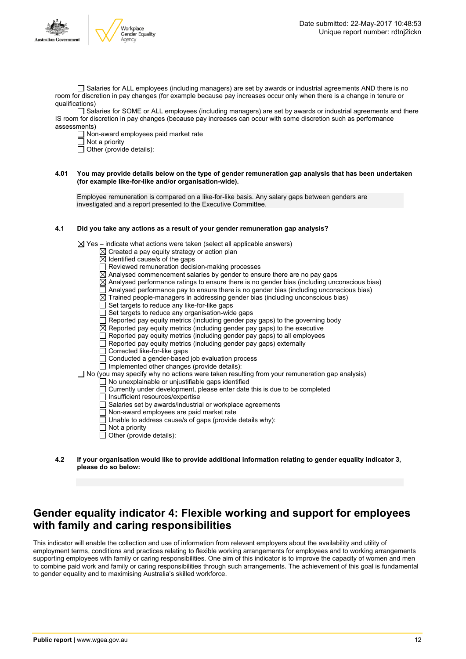

□ Salaries for ALL employees (including managers) are set by awards or industrial agreements AND there is no room for discretion in pay changes (for example because pay increases occur only when there is a change in tenure or qualifications)

Salaries for SOME or ALL employees (including managers) are set by awards or industrial agreements and there IS room for discretion in pay changes (because pay increases can occur with some discretion such as performance assessments)

Non-award employees paid market rate

 $\Box$  Not a priority

 $\Box$  Other (provide details):

#### 4.01 You may provide details below on the type of gender remuneration gap analysis that has been undertaken **(for example like-for-like and/or organisation-wide).**

Employee remuneration is compared on a like-for-like basis. Any salary gaps between genders are investigated and a report presented to the Executive Committee.

#### **4.1 Did you take any actions as a result of your gender remuneration gap analysis?**

 $\boxtimes$  Yes – indicate what actions were taken (select all applicable answers)

- $\boxtimes$  Created a pay equity strategy or action plan
- $\boxtimes$  Identified cause/s of the gaps
- □ Reviewed remuneration decision-making processes
- $\boxtimes$  Analysed commencement salaries by gender to ensure there are no pay gaps
- $\boxtimes$  Analysed performance ratings to ensure there is no gender bias (including unconscious bias)
- $\Box$  Analysed performance pay to ensure there is no gender bias (including unconscious bias)
- $\overline{\boxtimes}$  Trained people-managers in addressing gender bias (including unconscious bias)
- $\Box$  Set targets to reduce any like-for-like gaps
- Set targets to reduce any organisation-wide gaps
- Reported pay equity metrics (including gender pay gaps) to the governing body
- $\boxtimes$  Reported pay equity metrics (including gender pay gaps) to the executive
- $\Box$  Reported pay equity metrics (including gender pay gaps) to all employees
- Reported pay equity metrics (including gender pay gaps) externally
	- Corrected like-for-like gaps
- $\overline{\Box}$  Conducted a gender-based job evaluation process
- $\Box$  Implemented other changes (provide details):
- $\Box$  No (you may specify why no actions were taken resulting from your remuneration gap analysis)
	- $\Box$  No unexplainable or unjustifiable gaps identified
	- $\Box$  Currently under development, please enter date this is due to be completed
	- □ Insufficient resources/expertise
	- Salaries set by awards/industrial or workplace agreements
	- Non-award employees are paid market rate
	- $\Box$  Unable to address cause/s of gaps (provide details why):
	- $\Box$  Not a priority
	- $\Box$  Other (provide details):
- **4.2 If your organisation would like to provide additional information relating to gender equality indicator 3, please do so below:**

### **Gender equality indicator 4: Flexible working and support for employees with family and caring responsibilities**

This indicator will enable the collection and use of information from relevant employers about the availability and utility of employment terms, conditions and practices relating to flexible working arrangements for employees and to working arrangements supporting employees with family or caring responsibilities. One aim of this indicator is to improve the capacity of women and men to combine paid work and family or caring responsibilities through such arrangements. The achievement of this goal is fundamental to gender equality and to maximising Australia's skilled workforce.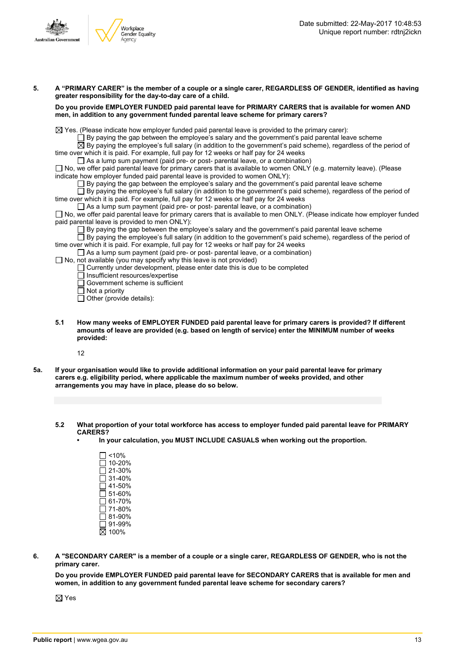

- 5. A "PRIMARY CARER" is the member of a couple or a single carer, REGARDLESS OF GENDER, identified as having **greater responsibility for the day-to-day care of a child. Do you provide EMPLOYER FUNDED paid parental leave for PRIMARY CARERS that is available for women AND men, in addition to any government funded parental leave scheme for primary carers?**  $\boxtimes$  Yes. (Please indicate how employer funded paid parental leave is provided to the primary carer):  $\Box$  By paying the gap between the employee's salary and the government's paid parental leave scheme  $\overline{\boxtimes}$  By paying the employee's full salary (in addition to the government's paid scheme), regardless of the period of time over which it is paid. For example, full pay for 12 weeks or half pay for 24 weeks  $\Box$  As a lump sum payment (paid pre- or post- parental leave, or a combination)  $\Box$  No, we offer paid parental leave for primary carers that is available to women ONLY (e.g. maternity leave). (Please indicate how employer funded paid parental leave is provided to women ONLY):  $\square$  By paying the gap between the employee's salary and the government's paid parental leave scheme  $\Box$  By paying the employee's full salary (in addition to the government's paid scheme), regardless of the period of time over which it is paid. For example, full pay for 12 weeks or half pay for 24 weeks  $\Box$  As a lump sum payment (paid pre- or post- parental leave, or a combination) □ No, we offer paid parental leave for primary carers that is available to men ONLY. (Please indicate how employer funded paid parental leave is provided to men ONLY): By paying the gap between the employee's salary and the government's paid parental leave scheme By paying the employee's full salary (in addition to the government's paid scheme), regardless of the period of time over which it is paid. For example, full pay for 12 weeks or half pay for 24 weeks  $\Box$  As a lump sum payment (paid pre- or post- parental leave, or a combination)  $\Box$  No, not available (you may specify why this leave is not provided)  $\Box$  Currently under development, please enter date this is due to be completed  $\overline{\Box}$  Insufficient resources/expertise Government scheme is sufficient  $\Box$  Not a priority  $\Box$  Other (provide details):
	- **5.1 How many weeks of EMPLOYER FUNDED paid parental leave for primary carers is provided? If different amounts of leave are provided (e.g. based on length of service) enter the MINIMUM number of weeks provided:**

12

- 5a. If your organisation would like to provide additional information on your paid parental leave for primary **carers e.g. eligibility period, where applicable the maximum number of weeks provided, and other arrangements you may have in place, please do so below.**
	- **5.2 What proportion of your total workforce has access to employer funded paid parental leave for PRIMARY CARERS?**
		- **• In your calculation, you MUST INCLUDE CASUALS when working out the proportion.**

 $\Box$ <10%  $\square$  10-20% 21-30% 31-40%  $\overline{\Box}$  41-50%  $\Box$  51-60%  $\overline{\Box}$  61-70% 71-80%  $\Box$  81-90% 91-99% 100%

6. A "SECONDARY CARER" is a member of a couple or a single carer, REGARDLESS OF GENDER, who is not the **primary carer.**

**Do you provide EMPLOYER FUNDED paid parental leave for SECONDARY CARERS that is available for men and women, in addition to any government funded parental leave scheme for secondary carers?**

 $\boxtimes$  Yes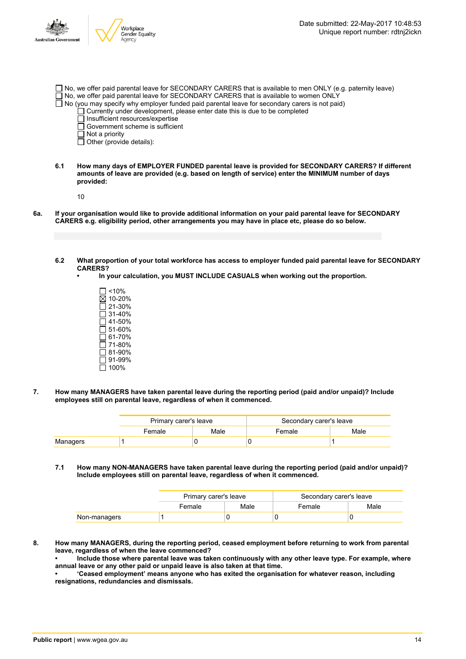| stralian Governmen | Workplace<br>Gender Equality                                                                                        | Date submitted: 22-May-2017 10:48:53<br>Unique report number: rdtnj2ickn                                                                                                                                                                                                                                                                                                                         |
|--------------------|---------------------------------------------------------------------------------------------------------------------|--------------------------------------------------------------------------------------------------------------------------------------------------------------------------------------------------------------------------------------------------------------------------------------------------------------------------------------------------------------------------------------------------|
|                    | Insufficient resources/expertise<br>T Government scheme is sufficient<br>Not a priority<br>Other (provide details): | $\Box$ No, we offer paid parental leave for SECONDARY CARERS that is available to men ONLY (e.g. paternity leave)<br>No, we offer paid parental leave for SECONDARY CARERS that is available to women ONLY<br>$\Box$ No (you may specify why employer funded paid parental leave for secondary carers is not paid)<br>Currently under development, please enter date this is due to be completed |

**6.1 How many days of EMPLOYER FUNDED parental leave is provided for SECONDARY CARERS? If different amounts of leave are provided (e.g. based on length of service) enter the MINIMUM number of days provided:**

10

Au

- 6a. If your organisation would like to provide additional information on your paid parental leave for SECONDARY **CARERS e.g. eligibility period, other arrangements you may have in place etc, please do so below.**
	- 6.2 What proportion of your total workforce has access to employer funded paid parental leave for SECONDARY **CARERS?**
		- **• In your calculation, you MUST INCLUDE CASUALS when working out the proportion.**
			- $\square$  <10% 10-20% 21-30%  $\overline{\Box}$  31-40% 41-50% 51-60%  $\overline{\Box}$  61-70%  $\square$  71-80% 81-90%  $\Box$  91-99% 100%
- **7. How many MANAGERS have taken parental leave during the reporting period (paid and/or unpaid)? Include employees still on parental leave, regardless of when it commenced.**

|          | Primary carer's leave |      | Secondary carer's leave |      |
|----------|-----------------------|------|-------------------------|------|
|          | Female                | Male | Female                  | Male |
| Managers |                       |      |                         |      |

**7.1 How many NON-MANAGERS have taken parental leave during the reporting period (paid and/or unpaid)? Include employees still on parental leave, regardless of when it commenced.**

|              | Primary carer's leave |      | Secondary carer's leave |      |  |
|--------------|-----------------------|------|-------------------------|------|--|
|              | Female                | Male | Female                  | Male |  |
| Non-managers |                       |      |                         |      |  |

**8. How many MANAGERS, during the reporting period, ceased employment before returning to work from parental leave, regardless of when the leave commenced?**

**• Include those where parental leave was taken continuously with any other leave type. For example, where annual leave or any other paid or unpaid leave is also taken at that time.**

**• 'Ceased employment' means anyone who has exited the organisation for whatever reason, including resignations, redundancies and dismissals.**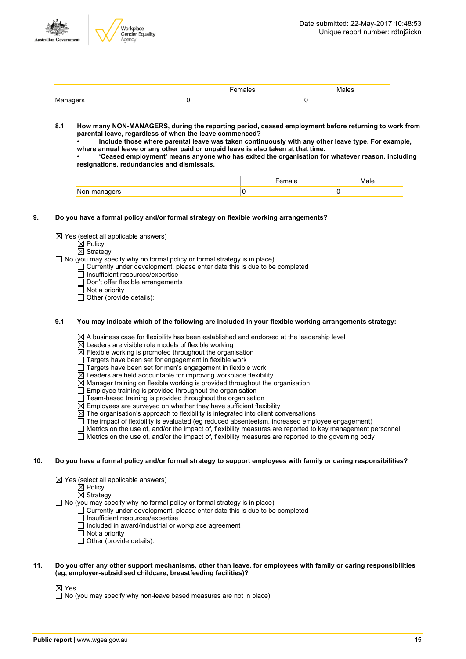



|                      | яех | Males |
|----------------------|-----|-------|
| wananers<br>$\cdots$ |     |       |

- **8.1 How many NON-MANAGERS, during the reporting period, ceased employment before returning to work from parental leave, regardless of when the leave commenced?**
	- **• Include those where parental leave was taken continuously with any other leave type. For example, where annual leave or any other paid or unpaid leave is also taken at that time.**
	- **• 'Ceased employment' means anyone who has exited the organisation for whatever reason, including resignations, redundancies and dismissals.**

- **9. Do you have a formal policy and/or formal strategy on flexible working arrangements?**
	- $\boxtimes$  Yes (select all applicable answers)

 $\boxtimes$  Policy

 $\boxtimes$  Strategy

- $\Box$  No (you may specify why no formal policy or formal strategy is in place)
	- $\Box$  Currently under development, please enter date this is due to be completed
	- $\Box$  Insufficient resources/expertise
	- Don't offer flexible arrangements
	- Not a priority
	- $\Box$  Other (provide details):

#### **9.1 You may indicate which of the following are included in your flexible working arrangements strategy:**

 $\boxtimes$  A business case for flexibility has been established and endorsed at the leadership level

 $\boxtimes$  Leaders are visible role models of flexible working

 $\boxtimes$  Flexible working is promoted throughout the organisation

- $\Box$  Targets have been set for engagement in flexible work
- $\overline{\Box}$  Targets have been set for men's engagement in flexible work
- $\boxtimes$  Leaders are held accountable for improving workplace flexibility
- $\boxtimes$  Manager training on flexible working is provided throughout the organisation
- $\Box$  Employee training is provided throughout the organisation
- $\Box$  Team-based training is provided throughout the organisation
- $\boxtimes$  Employees are surveyed on whether they have sufficient flexibility
- $\boxtimes$  The organisation's approach to flexibility is integrated into client conversations
- The impact of flexibility is evaluated (eg reduced absenteeism, increased employee engagement)
- $\Box$  Metrics on the use of, and/or the impact of, flexibility measures are reported to key management personnel
- $\Box$  Metrics on the use of, and/or the impact of, flexibility measures are reported to the governing body

#### 10. Do you have a formal policy and/or formal strategy to support employees with family or caring responsibilities?

- $\boxtimes$  Yes (select all applicable answers)
	- $\boxtimes$  Policy
		- $\overline{\boxtimes}$  Strategy

 $\Box$  No (you may specify why no formal policy or formal strategy is in place)

- Currently under development, please enter date this is due to be completed
- Insufficient resources/expertise
- $\Box$  Included in award/industrial or workplace agreement
- $\Box$  Not a priority
- $\Box$  Other (provide details):

#### 11. Do you offer any other support mechanisms, other than leave, for employees with family or caring responsibilities **(eg, employer-subsidised childcare, breastfeeding facilities)?**

 $\boxtimes$  Yes

 $\overline{\Box}$  No (you may specify why non-leave based measures are not in place)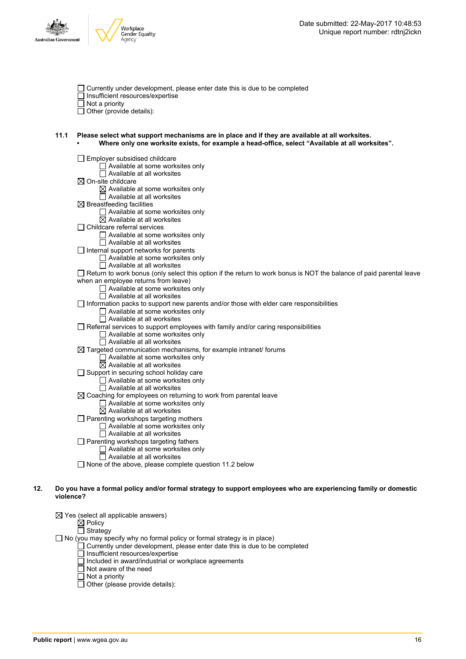



- Currently under development, please enter date this is due to be completed
- Insufficient resources/expertise

Not a priority

 $\Box$  Other (provide details):

#### **11.1 Please select what support mechanisms are in place and if they are available at all worksites. • Where only one worksite exists, for example a head-office, select "Available at all worksites".**

|     | Employer subsidised childcare                                                                                         |
|-----|-----------------------------------------------------------------------------------------------------------------------|
|     | $\Box$ Available at some worksites only                                                                               |
|     | $\Box$ Available at all worksites                                                                                     |
|     | $\boxtimes$ On-site childcare                                                                                         |
|     | $\boxtimes$ Available at some worksites only                                                                          |
|     | $\Box$ Available at all worksites                                                                                     |
|     | $\boxtimes$ Breastfeeding facilities                                                                                  |
|     | $\Box$ Available at some worksites only                                                                               |
|     | $\boxtimes$ Available at all worksites                                                                                |
|     | □ Childcare referral services                                                                                         |
|     | $\Box$ Available at some worksites only                                                                               |
|     | Available at all worksites                                                                                            |
|     | $\Box$ Internal support networks for parents                                                                          |
|     | $\Box$ Available at some worksites only                                                                               |
|     | $\Box$ Available at all worksites                                                                                     |
|     | □ Return to work bonus (only select this option if the return to work bonus is NOT the balance of paid parental leave |
|     | when an employee returns from leave)                                                                                  |
|     | $\Box$ Available at some worksites only                                                                               |
|     | $\Box$ Available at all worksites                                                                                     |
|     | $\Box$ Information packs to support new parents and/or those with elder care responsibilities                         |
|     | $\Box$ Available at some worksites only                                                                               |
|     | $\Box$ Available at all worksites                                                                                     |
|     | $\Box$ Referral services to support employees with family and/or caring responsibilities                              |
|     | $\Box$ Available at some worksites only                                                                               |
|     | $\Box$ Available at all worksites                                                                                     |
|     |                                                                                                                       |
|     | $\boxtimes$ Targeted communication mechanisms, for example intranet/ forums<br>Available at some worksites only       |
|     | $\boxtimes$ Available at all worksites                                                                                |
|     | Support in securing school holiday care                                                                               |
|     | $\Box$ Available at some worksites only                                                                               |
|     | $\Box$ Available at all worksites                                                                                     |
|     | $\boxtimes$ Coaching for employees on returning to work from parental leave                                           |
|     | $\Box$ Available at some worksites only                                                                               |
|     | $\boxtimes$ Available at all worksites                                                                                |
|     | $\Box$ Parenting workshops targeting mothers                                                                          |
|     | $\Box$ Available at some worksites only                                                                               |
|     | $\Box$ Available at all worksites                                                                                     |
|     | $\Box$ Parenting workshops targeting fathers                                                                          |
|     | $\Box$ Available at some worksites only                                                                               |
|     | $\Box$ Available at all worksites                                                                                     |
|     | $\Box$ None of the above, please complete question 11.2 below                                                         |
|     |                                                                                                                       |
|     |                                                                                                                       |
| 12. | Do you have a formal policy and/or formal strategy to support employees who are experiencing family or domestic       |
|     | violence?                                                                                                             |
|     |                                                                                                                       |
|     | $\boxtimes$ Yes (select all applicable answers)                                                                       |

Policy

Strategy  $\Box$  No (you may specify why no formal policy or formal strategy is in place)

- Currently under development, please enter date this is due to be completed
	- Insufficient resources/expertise
	- Included in award/industrial or workplace agreements
	- $\overline{\Box}$  Not aware of the need
	- Not a priority
	- Other (please provide details):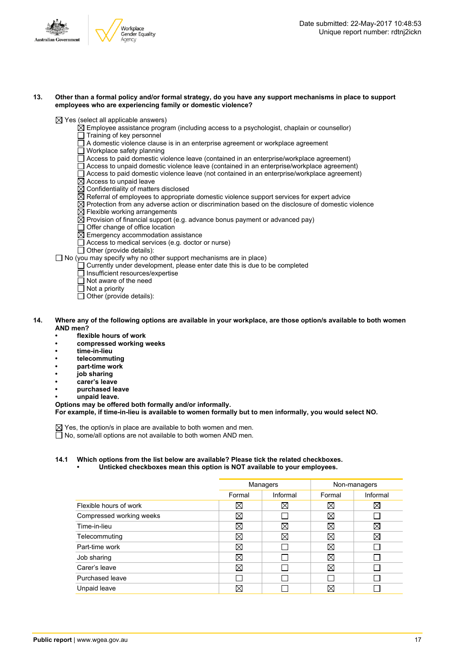

#### 13. Other than a formal policy and/or formal strategy, do you have any support mechanisms in place to support **employees who are experiencing family or domestic violence?**

 $\boxtimes$  Yes (select all applicable answers)

- $\boxtimes$  Employee assistance program (including access to a psychologist, chaplain or counsellor)
- $\Box$  Training of key personnel
- $\Box$  A domestic violence clause is in an enterprise agreement or workplace agreement
- □ Workplace safety planning
- Access to paid domestic violence leave (contained in an enterprise/workplace agreement)
- Access to unpaid domestic violence leave (contained in an enterprise/workplace agreement)
- $\Box$  Access to paid domestic violence leave (not contained in an enterprise/workplace agreement)
- $\boxtimes$  Access to unpaid leave
- $\boxtimes$  Confidentiality of matters disclosed
- $\overline{\boxtimes}$  Referral of employees to appropriate domestic violence support services for expert advice
- $\boxtimes$  Protection from any adverse action or discrimination based on the disclosure of domestic violence
- $\overline{\boxtimes}$  Flexible working arrangements
- $\boxtimes$  Provision of financial support (e.g. advance bonus payment or advanced pay)
- Offer change of office location
- $\overline{\boxtimes}$  Emergency accommodation assistance
- $\Box$  Access to medical services (e.g. doctor or nurse)
- $\Box$  Other (provide details):

 $\Box$  No (you may specify why no other support mechanisms are in place)

- $\Box$  Currently under development, please enter date this is due to be completed
	- Insufficient resources/expertise
- Not aware of the need
- $\overline{\Box}$  Not a priority
- $\Box$  Other (provide details):
- 14. Where any of the following options are available in your workplace, are those option/s available to both women **AND men?**
	- **• flexible hours of work**
	- **• compressed working weeks**
	- **• time-in-lieu**
	- **• telecommuting**
	- **• part-time work**
	- **• job sharing**
	- **• carer's leave**
	- **• purchased leave**
	- **• unpaid leave.**

**Options may be offered both formally and/or informally.**

**For example, if time-in-lieu is available to women formally but to men informally, you would select NO.**

 $\boxtimes$  Yes, the option/s in place are available to both women and men. □ No, some/all options are not available to both women AND men.

**14.1 Which options from the list below are available? Please tick the related checkboxes.**

**• Unticked checkboxes mean this option is NOT available to your employees.**

|                          | Managers    |          | Non-managers |             |
|--------------------------|-------------|----------|--------------|-------------|
|                          | Formal      | Informal | Formal       | Informal    |
| Flexible hours of work   | Χ           | ⊠        | X            | $\boxtimes$ |
| Compressed working weeks | ⊠           |          | ⊠            |             |
| Time-in-lieu             | ⊠           | ⊠        | $\boxtimes$  | X           |
| Telecommuting            | ⊠           | ⊠        | ⊠            | ⊠           |
| Part-time work           | $\boxtimes$ |          | X            |             |
| Job sharing              | ⊠           |          | X            |             |
| Carer's leave            | ⊠           |          | ⊠            |             |
| Purchased leave          |             |          |              |             |
| Unpaid leave             | X           |          | $\boxtimes$  |             |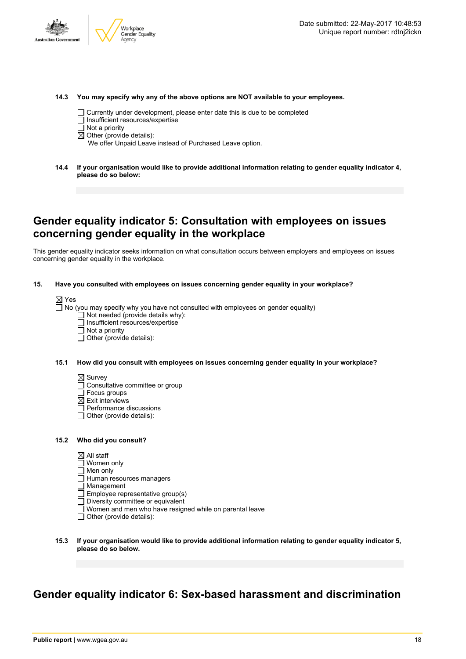



**14.3 You may specify why any of the above options are NOT available to your employees.**

- $\Box$  Currently under development, please enter date this is due to be completed
- $\Box$  Insufficient resources/expertise
- $\Box$  Not a priority
- $\boxtimes$  Other (provide details):

We offer Unpaid Leave instead of Purchased Leave option.

**14.4 If your organisation would like to provide additional information relating to gender equality indicator 4, please do so below:**

### **Gender equality indicator 5: Consultation with employees on issues concerning gender equality in the workplace**

This gender equality indicator seeks information on what consultation occurs between employers and employees on issues concerning gender equality in the workplace.

#### **15. Have you consulted with employees on issues concerning gender equality in your workplace?**

|--|--|

 $\Box$  No (you may specify why you have not consulted with employees on gender equality)

- $\Box$  Not needed (provide details why):
- $\Box$  Insufficient resources/expertise
- $\Box$  Not a priority
- $\Box$  Other (provide details):

#### **15.1 How did you consult with employees on issues concerning gender equality in your workplace?**

- $\boxtimes$  Survey
- Consultative committee or group
- $\Box$  Focus groups
- $\boxtimes$  Exit interviews
- Performance discussions
- □ Other (provide details):

#### **15.2 Who did you consult?**

- $\boxtimes$  All staff
- Women only
- $\Box$  Men only
- $\Box$  Human resources managers
- $\overline{\Box}$  Management
- $\square$  Employee representative group(s)
- $\square$  Diversity committee or equivalent
- Women and men who have resigned while on parental leave
- $\Box$  Other (provide details):
- **15.3 If your organisation would like to provide additional information relating to gender equality indicator 5, please do so below.**

# **Gender equality indicator 6: Sex-based harassment and discrimination**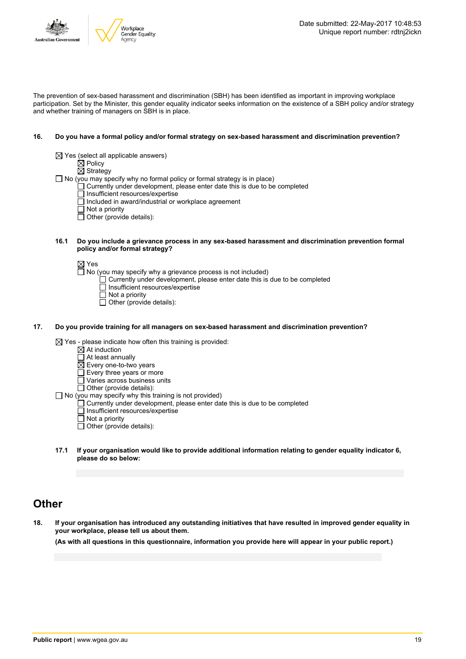

The prevention of sex-based harassment and discrimination (SBH) has been identified as important in improving workplace participation. Set by the Minister, this gender equality indicator seeks information on the existence of a SBH policy and/or strategy and whether training of managers on SBH is in place.

#### **16. Do you have a formal policy and/or formal strategy on sex-based harassment and discrimination prevention?**

- $\boxtimes$  Yes (select all applicable answers)
	- $\underline{\otimes}$  Policy
	- $\boxtimes$  Strategy

 $\Box$  No (you may specify why no formal policy or formal strategy is in place)

- $\Box$  Currently under development, please enter date this is due to be completed
- Insufficient resources/expertise
- $\Box$  Included in award/industrial or workplace agreement
- $\Box$  Not a priority
- $\Box$  Other (provide details):

#### **16.1 Do you include a grievance process in any sex-based harassment and discrimination prevention formal policy and/or formal strategy?**

Yes

- $\Box$  No (you may specify why a grievance process is not included)
	- $\Box$  Currently under development, please enter date this is due to be completed
	- $\Box$  Insufficient resources/expertise
	- $\Box$  Not a priority
	- $\Box$  Other (provide details):

#### **17. Do you provide training for all managers on sex-based harassment and discrimination prevention?**

 $\boxtimes$  Yes - please indicate how often this training is provided:

- $\overline{\boxtimes}$  At induction
- $\Box$  At least annually
- $\overline{\boxtimes}$  Every one-to-two years
- $\Box$  Every three years or more
- $\overline{\Box}$  Varies across business units
- $\Box$  Other (provide details):
- $\Box$  No (you may specify why this training is not provided)
	- $\Box$  Currently under development, please enter date this is due to be completed
	- $\Box$  Insufficient resources/expertise
	- $\Box$  Not a priority
	- $\overline{\Box}$  Other (provide details):
- **17.1 If your organisation would like to provide additional information relating to gender equality indicator 6, please do so below:**

### **Other**

18. If your organisation has introduced any outstanding initiatives that have resulted in improved gender equality in **your workplace, please tell us about them.**

(As with all questions in this questionnaire, information you provide here will appear in your public report.)